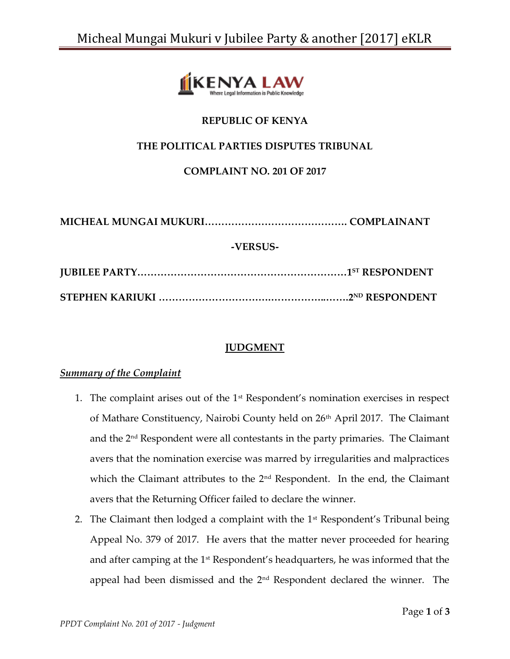

# **REPUBLIC OF KENYA**

## **THE POLITICAL PARTIES DISPUTES TRIBUNAL**

**COMPLAINT NO. 201 OF 2017**

**MICHEAL MUNGAI MUKURI……………………………………. COMPLAINANT -VERSUS-JUBILEE PARTY………………………………………………………1ST RESPONDENT STEPHEN KARIUKI …………………………….……………..…….2ND RESPONDENT**

## **JUDGMENT**

#### *Summary of the Complaint*

- 1. The complaint arises out of the  $1<sup>st</sup>$  Respondent's nomination exercises in respect of Mathare Constituency, Nairobi County held on 26<sup>th</sup> April 2017. The Claimant and the 2<sup>nd</sup> Respondent were all contestants in the party primaries. The Claimant avers that the nomination exercise was marred by irregularities and malpractices which the Claimant attributes to the  $2<sup>nd</sup>$  Respondent. In the end, the Claimant avers that the Returning Officer failed to declare the winner.
- 2. The Claimant then lodged a complaint with the  $1<sup>st</sup>$  Respondent's Tribunal being Appeal No. 379 of 2017. He avers that the matter never proceeded for hearing and after camping at the  $1<sup>st</sup>$  Respondent's headquarters, he was informed that the appeal had been dismissed and the 2nd Respondent declared the winner. The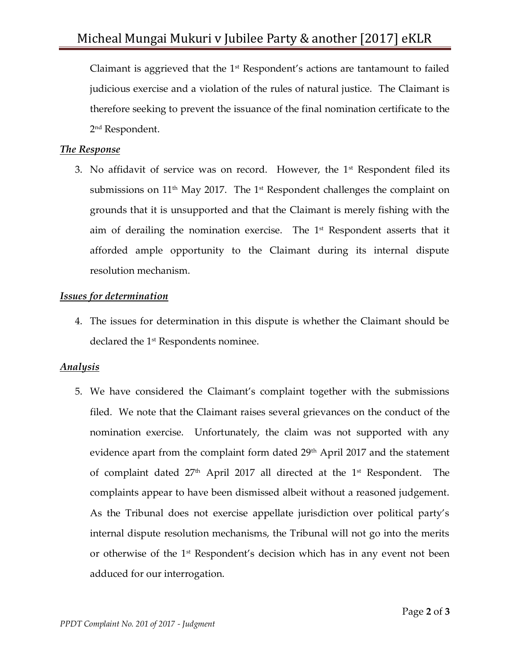Claimant is aggrieved that the  $1<sup>st</sup>$  Respondent's actions are tantamount to failed judicious exercise and a violation of the rules of natural justice. The Claimant is therefore seeking to prevent the issuance of the final nomination certificate to the 2 nd Respondent.

### *The Response*

3. No affidavit of service was on record. However, the  $1<sup>st</sup>$  Respondent filed its submissions on  $11<sup>th</sup>$  May 2017. The 1<sup>st</sup> Respondent challenges the complaint on grounds that it is unsupported and that the Claimant is merely fishing with the aim of derailing the nomination exercise. The 1st Respondent asserts that it afforded ample opportunity to the Claimant during its internal dispute resolution mechanism.

#### *Issues for determination*

4. The issues for determination in this dispute is whether the Claimant should be declared the 1<sup>st</sup> Respondents nominee.

## *Analysis*

5. We have considered the Claimant's complaint together with the submissions filed. We note that the Claimant raises several grievances on the conduct of the nomination exercise. Unfortunately, the claim was not supported with any evidence apart from the complaint form dated 29<sup>th</sup> April 2017 and the statement of complaint dated  $27<sup>th</sup>$  April 2017 all directed at the  $1<sup>st</sup>$  Respondent. The complaints appear to have been dismissed albeit without a reasoned judgement. As the Tribunal does not exercise appellate jurisdiction over political party's internal dispute resolution mechanisms, the Tribunal will not go into the merits or otherwise of the 1st Respondent's decision which has in any event not been adduced for our interrogation.